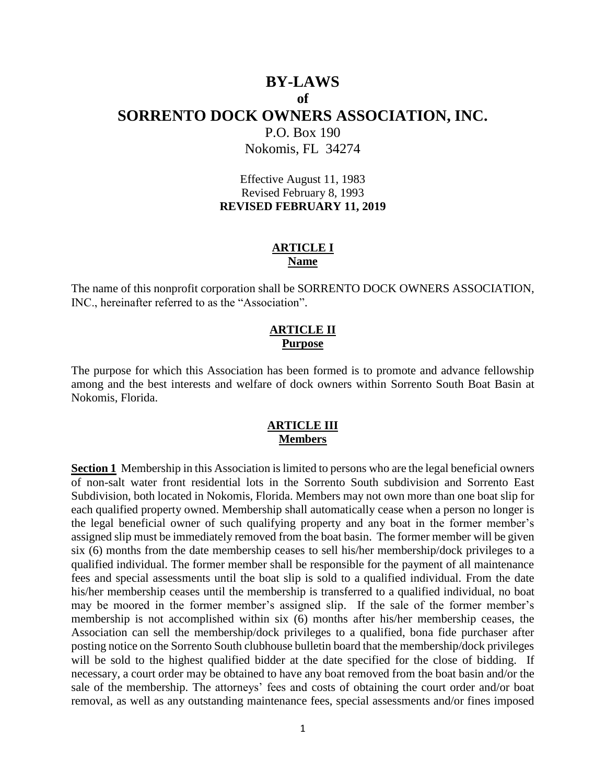# **BY-LAWS of SORRENTO DOCK OWNERS ASSOCIATION, INC.** P.O. Box 190

Nokomis, FL 34274

Effective August 11, 1983 Revised February 8, 1993 **REVISED FEBRUARY 11, 2019**

#### **ARTICLE I Name**

The name of this nonprofit corporation shall be SORRENTO DOCK OWNERS ASSOCIATION, INC., hereinafter referred to as the "Association".

#### **ARTICLE II Purpose**

The purpose for which this Association has been formed is to promote and advance fellowship among and the best interests and welfare of dock owners within Sorrento South Boat Basin at Nokomis, Florida.

### **ARTICLE III Members**

**Section 1** Membership in this Association is limited to persons who are the legal beneficial owners of non-salt water front residential lots in the Sorrento South subdivision and Sorrento East Subdivision, both located in Nokomis, Florida. Members may not own more than one boat slip for each qualified property owned. Membership shall automatically cease when a person no longer is the legal beneficial owner of such qualifying property and any boat in the former member's assigned slip must be immediately removed from the boat basin. The former member will be given six (6) months from the date membership ceases to sell his/her membership/dock privileges to a qualified individual. The former member shall be responsible for the payment of all maintenance fees and special assessments until the boat slip is sold to a qualified individual. From the date his/her membership ceases until the membership is transferred to a qualified individual, no boat may be moored in the former member's assigned slip. If the sale of the former member's membership is not accomplished within six (6) months after his/her membership ceases, the Association can sell the membership/dock privileges to a qualified, bona fide purchaser after posting notice on the Sorrento South clubhouse bulletin board that the membership/dock privileges will be sold to the highest qualified bidder at the date specified for the close of bidding. If necessary, a court order may be obtained to have any boat removed from the boat basin and/or the sale of the membership. The attorneys' fees and costs of obtaining the court order and/or boat removal, as well as any outstanding maintenance fees, special assessments and/or fines imposed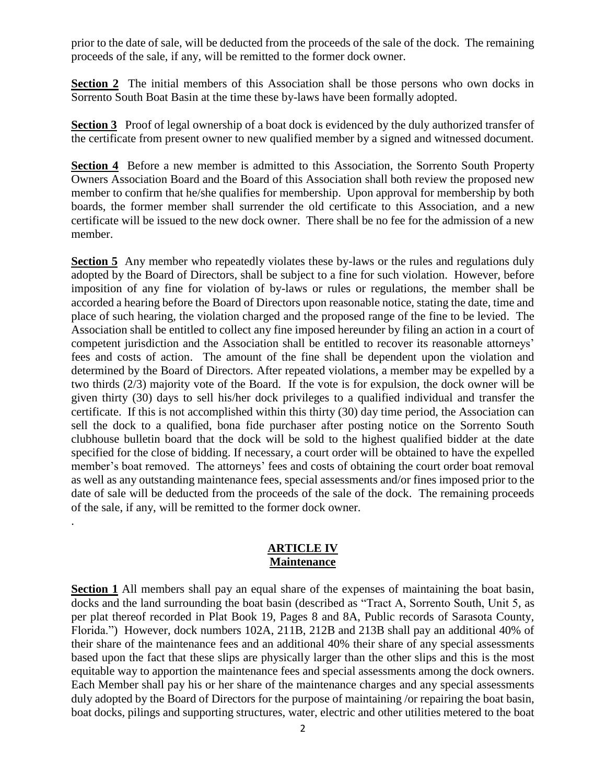prior to the date of sale, will be deducted from the proceeds of the sale of the dock. The remaining proceeds of the sale, if any, will be remitted to the former dock owner.

**Section 2** The initial members of this Association shall be those persons who own docks in Sorrento South Boat Basin at the time these by-laws have been formally adopted.

**Section 3** Proof of legal ownership of a boat dock is evidenced by the duly authorized transfer of the certificate from present owner to new qualified member by a signed and witnessed document.

**Section 4** Before a new member is admitted to this Association, the Sorrento South Property Owners Association Board and the Board of this Association shall both review the proposed new member to confirm that he/she qualifies for membership. Upon approval for membership by both boards, the former member shall surrender the old certificate to this Association, and a new certificate will be issued to the new dock owner. There shall be no fee for the admission of a new member.

**Section 5** Any member who repeatedly violates these by-laws or the rules and regulations duly adopted by the Board of Directors, shall be subject to a fine for such violation. However, before imposition of any fine for violation of by-laws or rules or regulations, the member shall be accorded a hearing before the Board of Directors upon reasonable notice, stating the date, time and place of such hearing, the violation charged and the proposed range of the fine to be levied. The Association shall be entitled to collect any fine imposed hereunder by filing an action in a court of competent jurisdiction and the Association shall be entitled to recover its reasonable attorneys' fees and costs of action. The amount of the fine shall be dependent upon the violation and determined by the Board of Directors. After repeated violations, a member may be expelled by a two thirds (2/3) majority vote of the Board. If the vote is for expulsion, the dock owner will be given thirty (30) days to sell his/her dock privileges to a qualified individual and transfer the certificate. If this is not accomplished within this thirty (30) day time period, the Association can sell the dock to a qualified, bona fide purchaser after posting notice on the Sorrento South clubhouse bulletin board that the dock will be sold to the highest qualified bidder at the date specified for the close of bidding. If necessary, a court order will be obtained to have the expelled member's boat removed. The attorneys' fees and costs of obtaining the court order boat removal as well as any outstanding maintenance fees, special assessments and/or fines imposed prior to the date of sale will be deducted from the proceeds of the sale of the dock. The remaining proceeds of the sale, if any, will be remitted to the former dock owner.

#### **ARTICLE IV Maintenance**

.

**Section 1** All members shall pay an equal share of the expenses of maintaining the boat basin, docks and the land surrounding the boat basin (described as "Tract A, Sorrento South, Unit 5, as per plat thereof recorded in Plat Book 19, Pages 8 and 8A, Public records of Sarasota County, Florida.") However, dock numbers 102A, 211B, 212B and 213B shall pay an additional 40% of their share of the maintenance fees and an additional 40% their share of any special assessments based upon the fact that these slips are physically larger than the other slips and this is the most equitable way to apportion the maintenance fees and special assessments among the dock owners. Each Member shall pay his or her share of the maintenance charges and any special assessments duly adopted by the Board of Directors for the purpose of maintaining /or repairing the boat basin, boat docks, pilings and supporting structures, water, electric and other utilities metered to the boat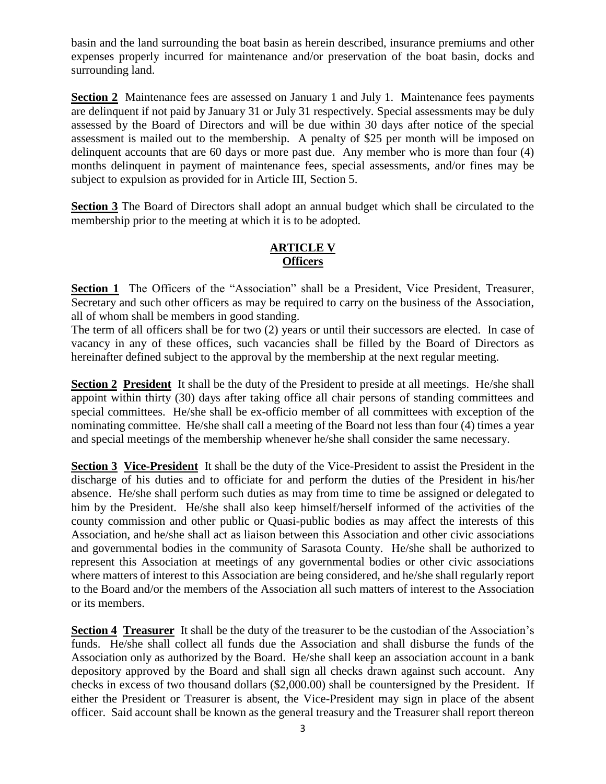basin and the land surrounding the boat basin as herein described, insurance premiums and other expenses properly incurred for maintenance and/or preservation of the boat basin, docks and surrounding land.

**Section 2** Maintenance fees are assessed on January 1 and July 1. Maintenance fees payments are delinquent if not paid by January 31 or July 31 respectively. Special assessments may be duly assessed by the Board of Directors and will be due within 30 days after notice of the special assessment is mailed out to the membership. A penalty of \$25 per month will be imposed on delinquent accounts that are 60 days or more past due. Any member who is more than four (4) months delinquent in payment of maintenance fees, special assessments, and/or fines may be subject to expulsion as provided for in Article III, Section 5.

**Section 3** The Board of Directors shall adopt an annual budget which shall be circulated to the membership prior to the meeting at which it is to be adopted.

# **ARTICLE V Officers**

**Section 1** The Officers of the "Association" shall be a President, Vice President, Treasurer, Secretary and such other officers as may be required to carry on the business of the Association, all of whom shall be members in good standing.

The term of all officers shall be for two (2) years or until their successors are elected. In case of vacancy in any of these offices, such vacancies shall be filled by the Board of Directors as hereinafter defined subject to the approval by the membership at the next regular meeting.

**Section 2 President** It shall be the duty of the President to preside at all meetings. He/she shall appoint within thirty (30) days after taking office all chair persons of standing committees and special committees. He/she shall be ex-officio member of all committees with exception of the nominating committee. He/she shall call a meeting of the Board not less than four (4) times a year and special meetings of the membership whenever he/she shall consider the same necessary.

**Section 3 Vice-President** It shall be the duty of the Vice-President to assist the President in the discharge of his duties and to officiate for and perform the duties of the President in his/her absence. He/she shall perform such duties as may from time to time be assigned or delegated to him by the President. He/she shall also keep himself/herself informed of the activities of the county commission and other public or Quasi-public bodies as may affect the interests of this Association, and he/she shall act as liaison between this Association and other civic associations and governmental bodies in the community of Sarasota County. He/she shall be authorized to represent this Association at meetings of any governmental bodies or other civic associations where matters of interest to this Association are being considered, and he/she shall regularly report to the Board and/or the members of the Association all such matters of interest to the Association or its members.

**Section 4 Treasurer** It shall be the duty of the treasurer to be the custodian of the Association's funds. He/she shall collect all funds due the Association and shall disburse the funds of the Association only as authorized by the Board. He/she shall keep an association account in a bank depository approved by the Board and shall sign all checks drawn against such account. Any checks in excess of two thousand dollars (\$2,000.00) shall be countersigned by the President. If either the President or Treasurer is absent, the Vice-President may sign in place of the absent officer. Said account shall be known as the general treasury and the Treasurer shall report thereon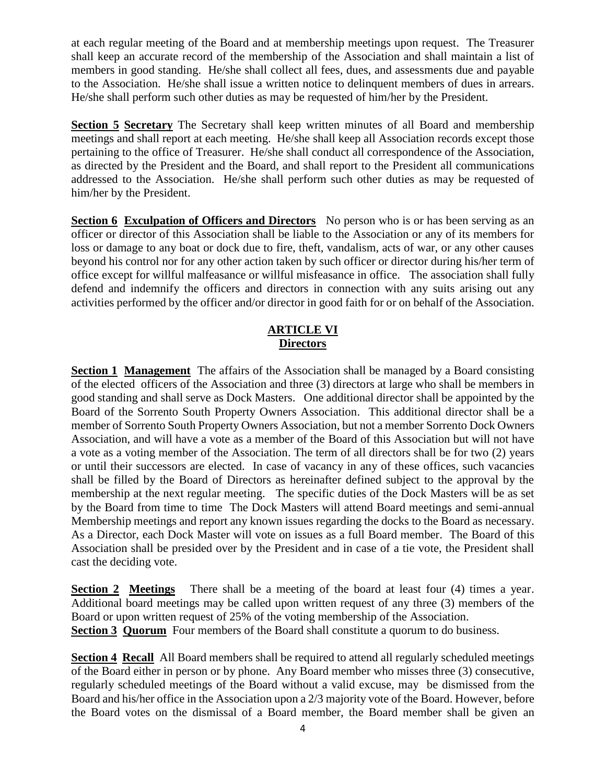at each regular meeting of the Board and at membership meetings upon request. The Treasurer shall keep an accurate record of the membership of the Association and shall maintain a list of members in good standing. He/she shall collect all fees, dues, and assessments due and payable to the Association. He/she shall issue a written notice to delinquent members of dues in arrears. He/she shall perform such other duties as may be requested of him/her by the President.

**Section 5 Secretary** The Secretary shall keep written minutes of all Board and membership meetings and shall report at each meeting. He/she shall keep all Association records except those pertaining to the office of Treasurer. He/she shall conduct all correspondence of the Association, as directed by the President and the Board, and shall report to the President all communications addressed to the Association. He/she shall perform such other duties as may be requested of him/her by the President.

**Section 6 Exculpation of Officers and Directors** No person who is or has been serving as an officer or director of this Association shall be liable to the Association or any of its members for loss or damage to any boat or dock due to fire, theft, vandalism, acts of war, or any other causes beyond his control nor for any other action taken by such officer or director during his/her term of office except for willful malfeasance or willful misfeasance in office. The association shall fully defend and indemnify the officers and directors in connection with any suits arising out any activities performed by the officer and/or director in good faith for or on behalf of the Association.

# **ARTICLE VI Directors**

**Section 1 Management** The affairs of the Association shall be managed by a Board consisting of the elected officers of the Association and three (3) directors at large who shall be members in good standing and shall serve as Dock Masters. One additional director shall be appointed by the Board of the Sorrento South Property Owners Association. This additional director shall be a member of Sorrento South Property Owners Association, but not a member Sorrento Dock Owners Association, and will have a vote as a member of the Board of this Association but will not have a vote as a voting member of the Association. The term of all directors shall be for two (2) years or until their successors are elected. In case of vacancy in any of these offices, such vacancies shall be filled by the Board of Directors as hereinafter defined subject to the approval by the membership at the next regular meeting. The specific duties of the Dock Masters will be as set by the Board from time to time The Dock Masters will attend Board meetings and semi-annual Membership meetings and report any known issues regarding the docks to the Board as necessary. As a Director, each Dock Master will vote on issues as a full Board member. The Board of this Association shall be presided over by the President and in case of a tie vote, the President shall cast the deciding vote.

**Section 2 Meetings** There shall be a meeting of the board at least four (4) times a year. Additional board meetings may be called upon written request of any three (3) members of the Board or upon written request of 25% of the voting membership of the Association. **Section 3 Quorum** Four members of the Board shall constitute a quorum to do business.

**Section 4 Recall** All Board members shall be required to attend all regularly scheduled meetings of the Board either in person or by phone. Any Board member who misses three (3) consecutive, regularly scheduled meetings of the Board without a valid excuse, may be dismissed from the Board and his/her office in the Association upon a 2/3 majority vote of the Board. However, before the Board votes on the dismissal of a Board member, the Board member shall be given an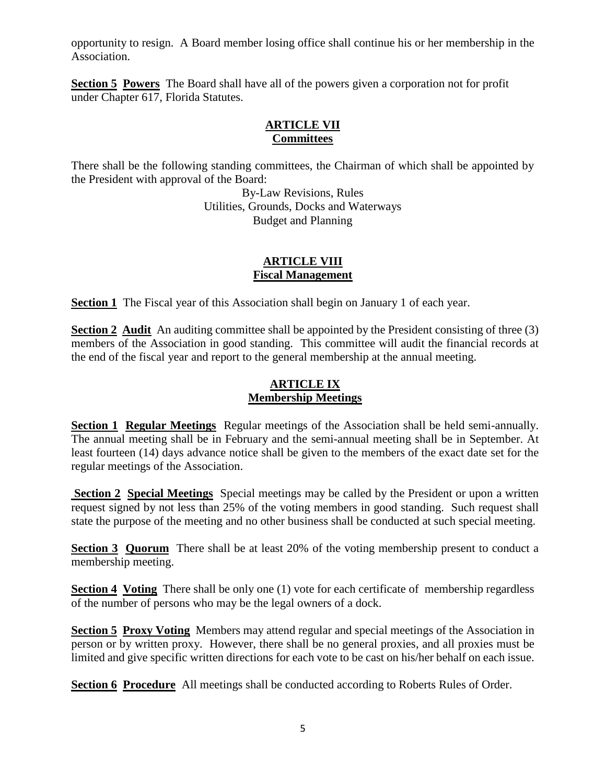opportunity to resign. A Board member losing office shall continue his or her membership in the Association.

**Section 5 Powers** The Board shall have all of the powers given a corporation not for profit under Chapter 617, Florida Statutes.

#### **ARTICLE VII Committees**

There shall be the following standing committees, the Chairman of which shall be appointed by the President with approval of the Board:

By-Law Revisions, Rules Utilities, Grounds, Docks and Waterways Budget and Planning

### **ARTICLE VIII Fiscal Management**

**Section 1** The Fiscal year of this Association shall begin on January 1 of each year.

**Section 2 Audit** An auditing committee shall be appointed by the President consisting of three (3) members of the Association in good standing. This committee will audit the financial records at the end of the fiscal year and report to the general membership at the annual meeting.

# **ARTICLE IX Membership Meetings**

**Section 1 Regular Meetings** Regular meetings of the Association shall be held semi-annually. The annual meeting shall be in February and the semi-annual meeting shall be in September. At least fourteen (14) days advance notice shall be given to the members of the exact date set for the regular meetings of the Association.

**Section 2 Special Meetings** Special meetings may be called by the President or upon a written request signed by not less than 25% of the voting members in good standing. Such request shall state the purpose of the meeting and no other business shall be conducted at such special meeting.

**Section 3 Quorum** There shall be at least 20% of the voting membership present to conduct a membership meeting.

**Section 4 Voting** There shall be only one (1) vote for each certificate of membership regardless of the number of persons who may be the legal owners of a dock.

**Section 5 Proxy Voting** Members may attend regular and special meetings of the Association in person or by written proxy. However, there shall be no general proxies, and all proxies must be limited and give specific written directions for each vote to be cast on his/her behalf on each issue.

**Section 6 Procedure** All meetings shall be conducted according to Roberts Rules of Order.